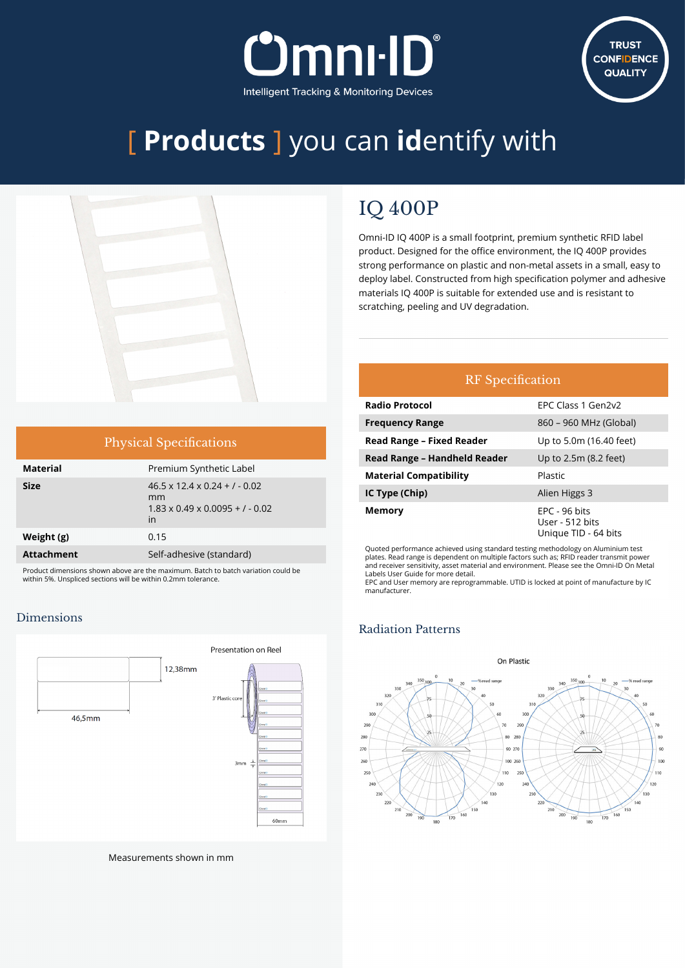



# [ **Products** ] you can **id**entify with



| <b>Physical Specifications</b> |  |  |
|--------------------------------|--|--|
|                                |  |  |

| <b>Material</b>   | Premium Synthetic Label                                                                              |
|-------------------|------------------------------------------------------------------------------------------------------|
| Size              | $46.5 \times 12.4 \times 0.24 + 7 - 0.02$<br>mm<br>$1.83 \times 0.49 \times 0.0095 + 7 - 0.02$<br>in |
| Weight (g)        | 0.15                                                                                                 |
| <b>Attachment</b> | Self-adhesive (standard)                                                                             |
|                   |                                                                                                      |

Product dimensions shown above are the maximum. Batch to batch variation could be within 5%. Unspliced sections will be within 0.2mm tolerance.

#### Dimensions



Measurements shown in mm

### IQ 400P

Omni-ID IQ 400P is a small footprint, premium synthetic RFID label product. Designed for the office environment, the IQ 400P provides strong performance on plastic and non-metal assets in a small, easy to deploy label. Constructed from high specification polymer and adhesive materials IQ 400P is suitable for extended use and is resistant to scratching, peeling and UV degradation.

### RF Specification

| <b>Radio Protocol</b>            | EPC Class 1 Gen2v2                                         |
|----------------------------------|------------------------------------------------------------|
| <b>Frequency Range</b>           | 860 – 960 MHz (Global)                                     |
| <b>Read Range - Fixed Reader</b> | Up to 5.0m (16.40 feet)                                    |
| Read Range - Handheld Reader     | Up to 2.5m (8.2 feet)                                      |
| <b>Material Compatibility</b>    | Plastic                                                    |
| IC Type (Chip)                   | Alien Higgs 3                                              |
| Memory                           | $EPC - 96$ bits<br>User - 512 bits<br>Unique TID - 64 bits |

Quoted performance achieved using standard testing methodology on Aluminium test plates. Read range is dependent on multiple factors such as; RFID reader transmit power and receiver sensitivity, asset material and environment. Please see the Omni-ID On Metal Labels User Guide for more detail.

EPC and User memory are reprogrammable. UTID is locked at point of manufacture by IC manufacturer.

#### Radiation Patterns